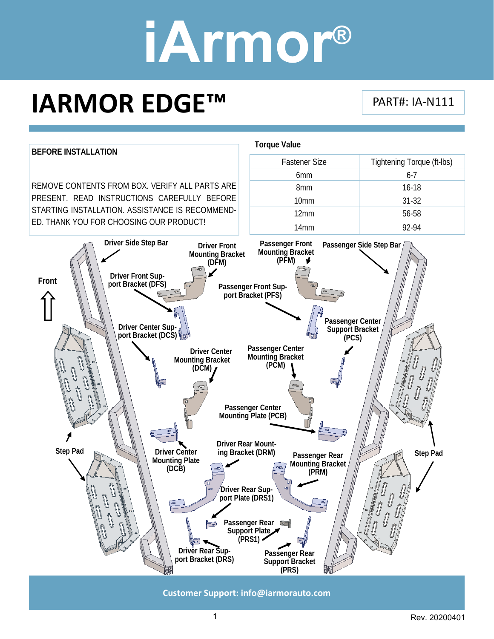### **IARMOR EDGE™**

PART#: IA‐N111



**Customer Support: info@iarmorauto.com** 

1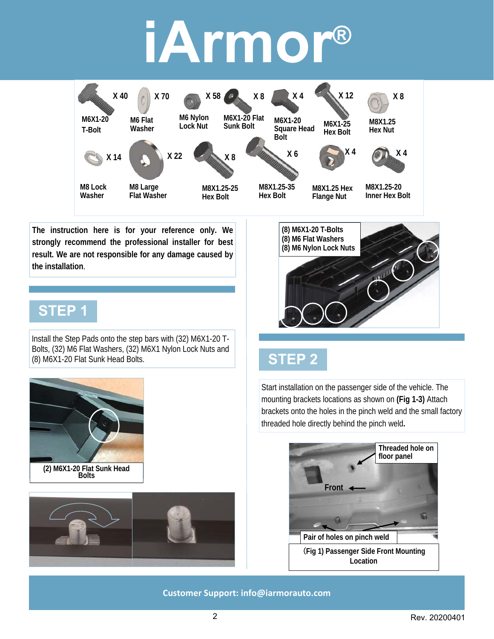

**The instruction here is for your reference only. We strongly recommend the professional installer for best result. We are not responsible for any damage caused by the installation**.

#### **STEP 1**

Install the Step Pads onto the step bars with (32) M6X1-20 T-Bolts, (32) M6 Flat Washers, (32) M6X1 Nylon Lock Nuts and (8) M6X1-20 Flat Sunk Head Bolts.



**(2) M6X1-20 Flat Sunk Head Bolts** 





### **STEP 2**

Start installation on the passenger side of the vehicle. The mounting brackets locations as shown on **(Fig 1-3)** Attach brackets onto the holes in the pinch weld and the small factory threaded hole directly behind the pinch weld**.**



#### **Customer Support: info@iarmorauto.com**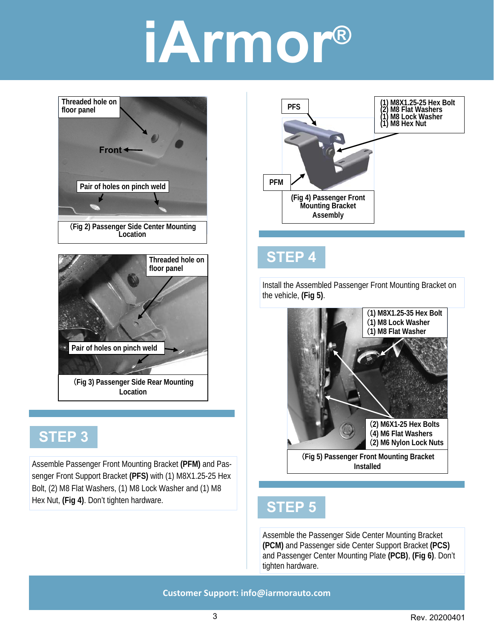

### **STEP 3**

Assemble Passenger Front Mounting Bracket **(PFM)** and Passenger Front Support Bracket **(PFS)** with (1) M8X1.25-25 Hex Bolt, (2) M8 Flat Washers, (1) M8 Lock Washer and (1) M8 Hex Nut, **(Fig 4)**. Don't tighten hardware.



#### **STEP 4**

Install the Assembled Passenger Front Mounting Bracket on the vehicle, **(Fig 5)**.



**Installed** 

#### **STEP 5**

Assemble the Passenger Side Center Mounting Bracket **(PCM)** and Passenger side Center Support Bracket **(PCS)**  and Passenger Center Mounting Plate **(PCB)**, **(Fig 6)**. Don't tighten hardware.

**Customer Support: info@iarmorauto.com**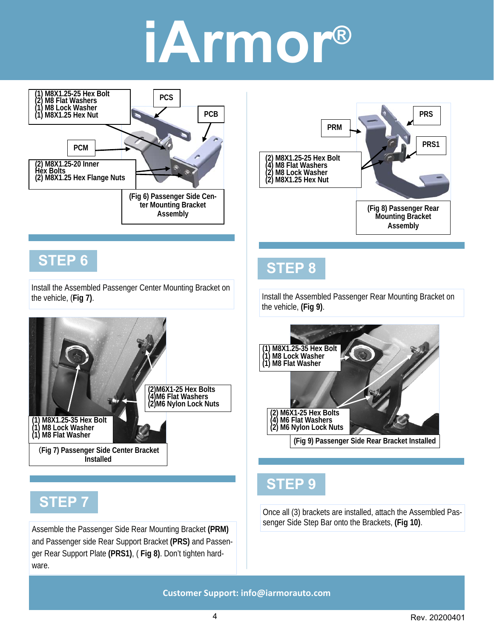

**Customer Support: info@iarmorauto.com** 

and Passenger side Rear Support Bracket **(PRS)** and Passenger Rear Support Plate **(PRS1)**, ( **Fig 8)**. Don't tighten hard-

ware.